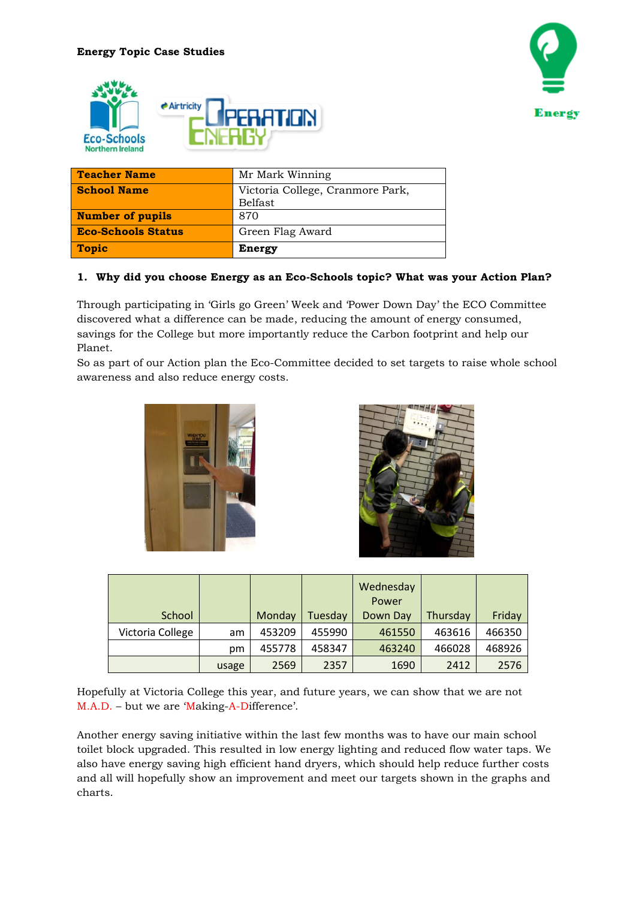



| <b>Teacher Name</b>       | Mr Mark Winning                             |
|---------------------------|---------------------------------------------|
| <b>School Name</b>        | Victoria College, Cranmore Park,<br>Belfast |
| <b>Number of pupils</b>   | 870                                         |
| <b>Eco-Schools Status</b> | Green Flag Award                            |
| <b>Topic</b>              | Energy                                      |

# **1. Why did you choose Energy as an Eco-Schools topic? What was your Action Plan?**

Through participating in 'Girls go Green' Week and 'Power Down Day' the ECO Committee discovered what a difference can be made, reducing the amount of energy consumed, savings for the College but more importantly reduce the Carbon footprint and help our Planet.

So as part of our Action plan the Eco-Committee decided to set targets to raise whole school awareness and also reduce energy costs.





| School           |       | Monday | Tuesday | Wednesday<br>Power<br>Down Day | Thursday | Friday |
|------------------|-------|--------|---------|--------------------------------|----------|--------|
| Victoria College | am    | 453209 | 455990  | 461550                         | 463616   | 466350 |
|                  | pm    | 455778 | 458347  | 463240                         | 466028   | 468926 |
|                  | usage | 2569   | 2357    | 1690                           | 2412     | 2576   |

Hopefully at Victoria College this year, and future years, we can show that we are not M.A.D. – but we are 'Making-A-Difference'.

Another energy saving initiative within the last few months was to have our main school toilet block upgraded. This resulted in low energy lighting and reduced flow water taps. We also have energy saving high efficient hand dryers, which should help reduce further costs and all will hopefully show an improvement and meet our targets shown in the graphs and charts.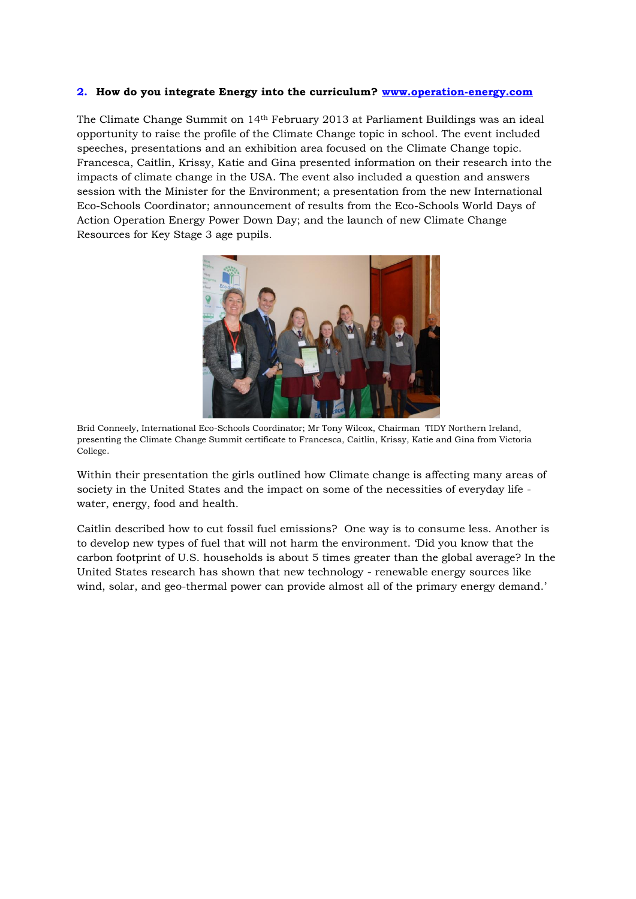#### **2. How do you integrate Energy into the curriculum? [www.operation-energy.com](http://www.operation-energy.com/)**

The Climate Change Summit on 14th February 2013 at Parliament Buildings was an ideal opportunity to raise the profile of the Climate Change topic in school. The event included speeches, presentations and an exhibition area focused on the Climate Change topic. Francesca, Caitlin, Krissy, Katie and Gina presented information on their research into the impacts of climate change in the USA. The event also included a question and answers session with the Minister for the Environment; a presentation from the new International Eco-Schools Coordinator; announcement of results from the Eco-Schools World Days of Action Operation Energy Power Down Day; and the launch of new Climate Change Resources for Key Stage 3 age pupils.



Brid Conneely, International Eco-Schools Coordinator; Mr Tony Wilcox, Chairman TIDY Northern Ireland, presenting the Climate Change Summit certificate to Francesca, Caitlin, Krissy, Katie and Gina from Victoria College.

Within their presentation the girls outlined how Climate change is affecting many areas of society in the United States and the impact on some of the necessities of everyday life water, energy, food and health.

Caitlin described how to cut fossil fuel emissions? One way is to consume less. Another is to develop new types of fuel that will not harm the environment. 'Did you know that the carbon footprint of U.S. households is about 5 times greater than the global average? In the United States research has shown that new technology - renewable energy sources like wind, solar, and geo-thermal power can provide almost all of the primary energy demand.'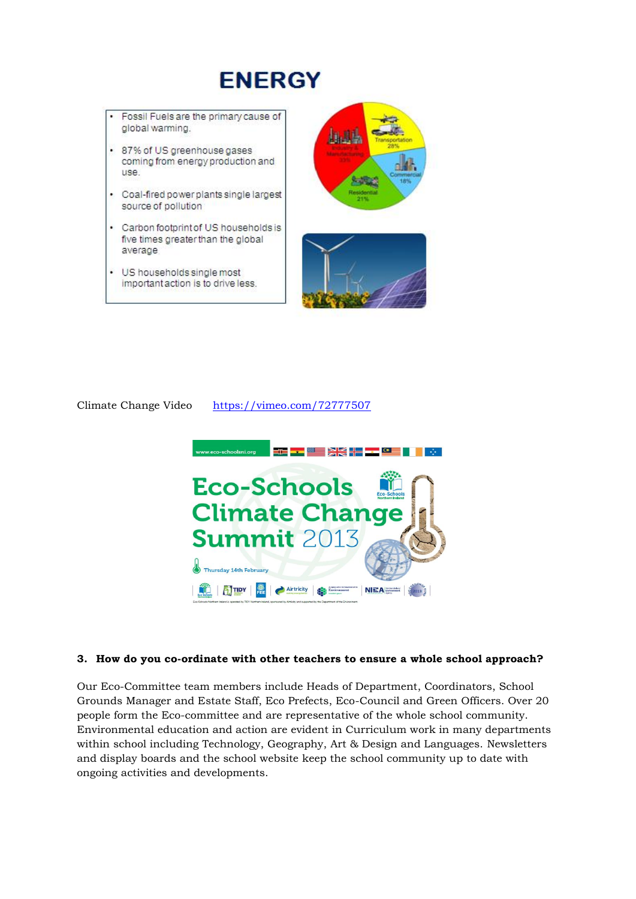# **ENERGY**

- Fossil Fuels are the primary cause of global warming.
- · 87% of US greenhouse gases coming from energy production and **USA**
- Coal-fired power plants single largest source of pollution
- Carbon footprint of US households is five times greater than the global average
- US households single most important action is to drive less.





Climate Change Video <https://vimeo.com/72777507>



## **3. How do you co-ordinate with other teachers to ensure a whole school approach?**

Our Eco-Committee team members include Heads of Department, Coordinators, School Grounds Manager and Estate Staff, Eco Prefects, Eco-Council and Green Officers. Over 20 people form the Eco-committee and are representative of the whole school community. Environmental education and action are evident in Curriculum work in many departments within school including Technology, Geography, Art & Design and Languages. Newsletters and display boards and the school website keep the school community up to date with ongoing activities and developments.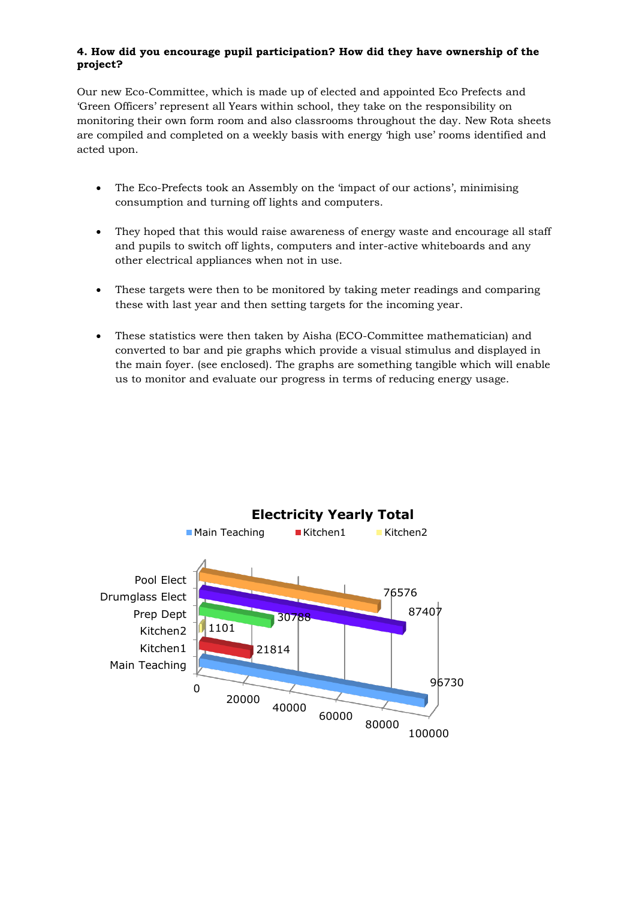# **4. How did you encourage pupil participation? How did they have ownership of the project?**

Our new Eco-Committee, which is made up of elected and appointed Eco Prefects and 'Green Officers' represent all Years within school, they take on the responsibility on monitoring their own form room and also classrooms throughout the day. New Rota sheets are compiled and completed on a weekly basis with energy 'high use' rooms identified and acted upon.

- The Eco-Prefects took an Assembly on the 'impact of our actions', minimising consumption and turning off lights and computers.
- They hoped that this would raise awareness of energy waste and encourage all staff and pupils to switch off lights, computers and inter-active whiteboards and any other electrical appliances when not in use.
- These targets were then to be monitored by taking meter readings and comparing these with last year and then setting targets for the incoming year.
- These statistics were then taken by Aisha (ECO-Committee mathematician) and converted to bar and pie graphs which provide a visual stimulus and displayed in the main foyer. (see enclosed). The graphs are something tangible which will enable us to monitor and evaluate our progress in terms of reducing energy usage.

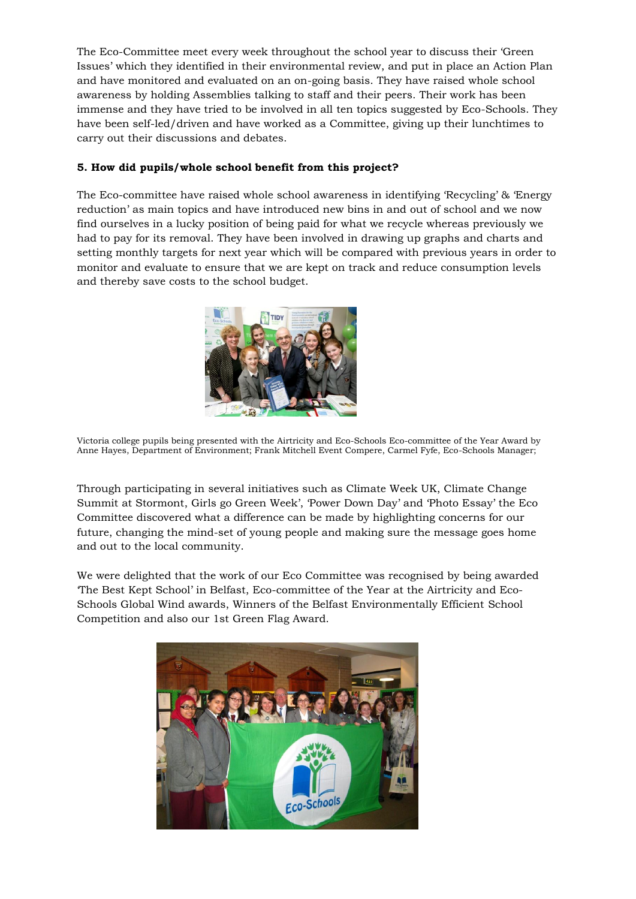The Eco-Committee meet every week throughout the school year to discuss their 'Green Issues' which they identified in their environmental review, and put in place an Action Plan and have monitored and evaluated on an on-going basis. They have raised whole school awareness by holding Assemblies talking to staff and their peers. Their work has been immense and they have tried to be involved in all ten topics suggested by Eco-Schools. They have been self-led/driven and have worked as a Committee, giving up their lunchtimes to carry out their discussions and debates.

# **5. How did pupils/whole school benefit from this project?**

The Eco-committee have raised whole school awareness in identifying 'Recycling' & 'Energy reduction' as main topics and have introduced new bins in and out of school and we now find ourselves in a lucky position of being paid for what we recycle whereas previously we had to pay for its removal. They have been involved in drawing up graphs and charts and setting monthly targets for next year which will be compared with previous years in order to monitor and evaluate to ensure that we are kept on track and reduce consumption levels and thereby save costs to the school budget.



Victoria college pupils being presented with the Airtricity and Eco-Schools Eco-committee of the Year Award by Anne Hayes, Department of Environment; Frank Mitchell Event Compere, Carmel Fyfe, Eco-Schools Manager;

Through participating in several initiatives such as Climate Week UK, Climate Change Summit at Stormont, Girls go Green Week', 'Power Down Day' and 'Photo Essay' the Eco Committee discovered what a difference can be made by highlighting concerns for our future, changing the mind-set of young people and making sure the message goes home and out to the local community.

We were delighted that the work of our Eco Committee was recognised by being awarded 'The Best Kept School' in Belfast, Eco-committee of the Year at the Airtricity and Eco-Schools Global Wind awards, Winners of the Belfast Environmentally Efficient School Competition and also our 1st Green Flag Award.

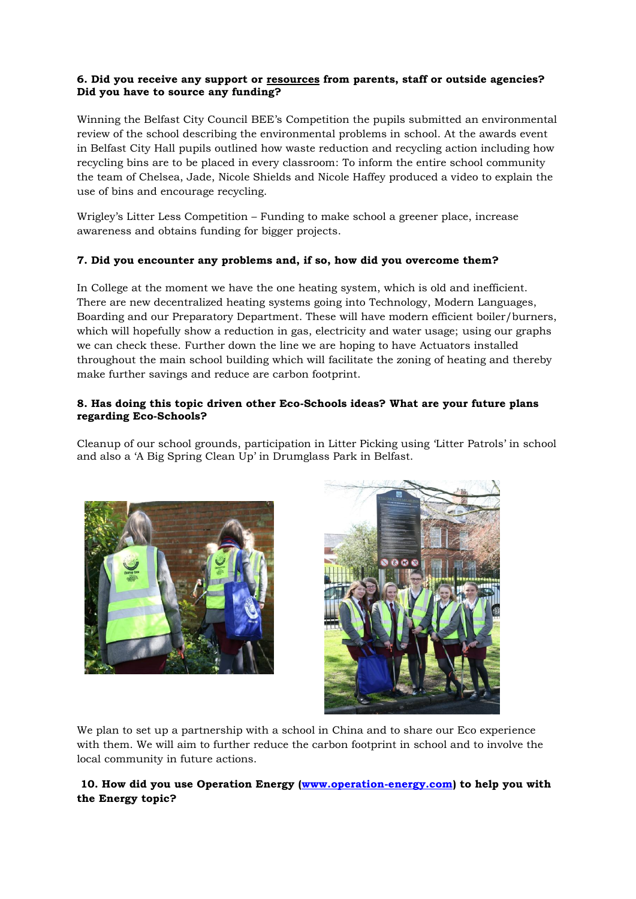## **6. Did you receive any support or resources from parents, staff or outside agencies? Did you have to source any funding?**

Winning the Belfast City Council BEE's Competition the pupils submitted an environmental review of the school describing the environmental problems in school. At the awards event in Belfast City Hall pupils outlined how waste reduction and recycling action including how recycling bins are to be placed in every classroom: To inform the entire school community the team of Chelsea, Jade, Nicole Shields and Nicole Haffey produced a video to explain the use of bins and encourage recycling.

Wrigley's Litter Less Competition – Funding to make school a greener place, increase awareness and obtains funding for bigger projects.

# **7. Did you encounter any problems and, if so, how did you overcome them?**

In College at the moment we have the one heating system, which is old and inefficient. There are new decentralized heating systems going into Technology, Modern Languages, Boarding and our Preparatory Department. These will have modern efficient boiler/burners, which will hopefully show a reduction in gas, electricity and water usage; using our graphs we can check these. Further down the line we are hoping to have Actuators installed throughout the main school building which will facilitate the zoning of heating and thereby make further savings and reduce are carbon footprint.

## **8. Has doing this topic driven other Eco-Schools ideas? What are your future plans regarding Eco-Schools?**

Cleanup of our school grounds, participation in Litter Picking using 'Litter Patrols' in school and also a 'A Big Spring Clean Up' in Drumglass Park in Belfast.





We plan to set up a partnership with a school in China and to share our Eco experience with them. We will aim to further reduce the carbon footprint in school and to involve the local community in future actions.

# **10. How did you use Operation Energy [\(www.operation-energy.com\)](http://www.operation-energy.com/) to help you with the Energy topic?**